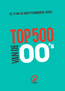## 12 T/M 16 SEPTEMBER 2016



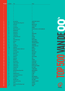| <b>POS 2016</b>         | <b>POS 2015</b>           | <b>Titel</b>                                 | <b>Artiest</b>                                 |          |
|-------------------------|---------------------------|----------------------------------------------|------------------------------------------------|----------|
| $\boldsymbol{\eta}$     | $\overline{\mathcal{L}}$  | $\boldsymbol{\eta}$                          | ?                                              |          |
| $\boldsymbol{\eta}$     | $\overline{\mathcal{L}}$  | $\boldsymbol{\eta}$                          |                                                |          |
| ?                       | $\overline{\mathfrak{c}}$ | $\boldsymbol{\eta}$                          |                                                |          |
| $\boldsymbol{\eta}$     | $\overline{\mathcal{L}}$  | 2                                            |                                                |          |
| 7                       | $\boldsymbol{\eta}$       |                                              |                                                |          |
| ?                       | $\overline{?}$            |                                              |                                                |          |
| 7                       | $\overline{\mathcal{L}}$  |                                              |                                                |          |
| 7                       | $\boldsymbol{\eta}$       |                                              |                                                |          |
| ?                       | $\overline{\mathfrak{c}}$ |                                              |                                                | $\bm{U}$ |
| $\boldsymbol{\eta}$     | $\overline{\mathcal{L}}$  |                                              |                                                |          |
| $\overline{\mathbf{1}}$ | 51                        | <b>Het Land Van</b>                          | <b>LANGE FRANS &amp; BAAS B</b>                |          |
| 12                      | 59                        | Single Ladies (Put A Ring On It)             | <b>BEYONCÉ</b>                                 |          |
| 13                      | 22                        | <b>Sex On Fire</b>                           | <b>KINGS OF LEON</b>                           |          |
| 14                      | 11                        | <b>Love Story</b>                            | <b>TAYLOR SWIFT</b>                            |          |
| 15                      | 10                        | <b>Lose Yourself</b>                         | <b>EMINEM</b>                                  |          |
| 16                      | 35                        | <b>Where Is The Love?</b>                    | <b>BLACK EYED PEAS &amp; JUSTIN TIMBERLAKE</b> |          |
| 17                      | 26                        | <b>Beautiful Day</b>                         | U <sub>2</sub>                                 |          |
| 18                      | 68                        | Rampeneren                                   | ALI B                                          |          |
| 19                      | 45                        | <b>Chasing Cars</b>                          | <b>SNOW PATROL</b>                             | Ц        |
| 20                      | 21                        | <b>I Would Stay</b>                          | <b>KREZIP</b>                                  |          |
| 21                      | 127                       | <b>Everytime We Touch</b>                    | CASCADA                                        |          |
| 22                      | 27                        | Halo                                         | <b>BEYONCÉ</b>                                 |          |
| 23                      | 40                        | <b>Seven Nation Army</b>                     | <b>WHITE STRIPES</b>                           |          |
| 24                      | 16                        | <b>Dochters</b>                              | <b>MARCO BORSATO</b>                           |          |
| 25                      | 131                       | <b>Dirrty</b>                                | <b>CHRISTINA AGUILERA</b>                      |          |
| 26                      | 29                        | I'm Yours                                    | <b>JASON MRAZ</b>                              |          |
| 27                      | 60                        | <b>Numb/Encore</b>                           | <b>LINKIN PARK &amp; JAY Z</b>                 |          |
| 28                      | 240                       | Sandstorm                                    | <b>DARUDE</b>                                  |          |
| 29                      | 173                       | <b>Nothing Else Matters (S&amp;M Live)</b>   | <b>METALLICA</b>                               |          |
| 30                      | 71                        | It's My Life                                 | <b>BON JOVI</b>                                |          |
| 31<br>32                | 76<br>14                  | <b>You're Beautiful</b><br><b>Poker Face</b> | <b>JAMES BLUNT</b><br><b>LADY GAGA</b>         |          |
| 33                      | $\overline{7}$            | <b>The Scientist</b>                         | COLDPLAY                                       |          |
| 34                      | 57                        | <b>SkBer Boi</b>                             | <b>AVRIL LAVIGNE</b>                           |          |
| 35                      | 187                       | <b>Onderweg</b>                              | <b>ABEL</b>                                    |          |
| 36                      | 113                       | Weekend                                      | <b>SCOOTER</b>                                 |          |
| 37                      | 78                        | <b>My Immortal</b>                           | <b>EVANESCENCE</b>                             |          |
| 38                      | 119                       | <b>Father &amp; Friend</b>                   | <b>ALAIN CLARK</b>                             |          |
| 39                      | 48                        | <b>Crazy In Love</b>                         | <b>BEYONCÉ &amp; JAY Z</b>                     |          |
| 40                      | 55                        | <b>Californication</b>                       | <b>RED HOT CHILI PEPPERS</b>                   |          |
| 41                      | 81                        | <b>I Kissed A Girl</b>                       | <b>KATY PERRY</b>                              |          |
| 42                      | 62                        | Kryptonite                                   | <b>3 DOORS DOWN</b>                            |          |
| 43                      | 63                        | <b>Afscheid Nemen Bestaat Niet</b>           | <b>MARCO BORSATO</b>                           |          |
| 44                      | 12                        | <b>This Love</b>                             | <b>MAROON 5</b>                                |          |
| 45                      | 56                        | Dragostea Din Tei                            | 0-ZONE                                         |          |
| 46                      | 19                        | <b>Somewhere Only We Know</b>                | <b>KEANE</b>                                   |          |
| 47                      | 277                       | <b>Back To Black</b>                         | <b>AMY WINEHOUSE</b>                           |          |
| 48                      | 67                        | <b>Ice Queen</b>                             | <b>WITHIN TEMPTATION</b>                       |          |
| 49                      | 75                        | <b>One More Time</b>                         | <b>DAFT PUNK</b>                               |          |
| 50                      | 229                       | Ik Wou Dat Ik Jou Was                        | <b>VELDHUIS &amp; KEMPER</b>                   |          |
| 51                      | 34                        | <b>Clocks</b>                                | COLDPLAY                                       |          |
| 52                      | 228                       | <b>Played-A-Live (The Bongo Song)</b>        | <b>SAFRI DUO</b>                               |          |
| 53                      | 31                        | <b>Michel</b>                                | <b>ANOUK</b>                                   |          |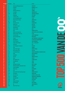| <b>POS 2016</b> | <b>POS 2015</b> | <b>Titel</b>                                    | <b>Artiest</b>                                        |                |
|-----------------|-----------------|-------------------------------------------------|-------------------------------------------------------|----------------|
| 54              | 32              | <b>Boulevard Of Broken Dreams</b>               | <b>GREEN DAY</b>                                      |                |
| 55              | 17              | <b>Umbrella</b>                                 | <b>RIHANNA &amp; JAY Z</b>                            |                |
| 56              | 50              | <b>Fireflies</b>                                | <b>OWL CITY</b>                                       |                |
| 57              | 33              | <b>Whenever Wherever</b>                        | <b>SHAKIRA</b>                                        |                |
| 58              | 42              | Freestyler                                      | <b>BOMFUNK MC'S</b>                                   |                |
| 59              | 339             | <b>Beautiful</b>                                | <b>CHRISTINA AGUILERA</b>                             |                |
| 60              | 9               | <b>Breakeven</b>                                | THE SCRIPT                                            |                |
| 61              | 95              | If I Were A Boy                                 | <b>BEYONCÉ</b>                                        |                |
| 62              | 201             | All The Things She Said                         | <b>T.A.T.U.</b>                                       | U)             |
| 63              | 114             | <b>Bloed Zweet &amp; Tranen</b>                 | <b>ANDRE HAZES</b>                                    |                |
| 64              | 88              | <b>Hey Ya!</b>                                  | <b>OUTKAST</b>                                        |                |
| 65              | 235             | <b>Bring Me To Life</b>                         | <b>EVANESCENCE</b>                                    |                |
| 66              | 77              | <b>Uptown Girl</b>                              | <b>WESTLIFE</b>                                       |                |
| 67              | 36              | <b>She Will Be Loved</b>                        | <b>MAROON 5</b>                                       |                |
| 68              | 54              | <b>Bad Romance</b>                              | <b>LADY GAGA</b>                                      |                |
| 69              | 170             | <b>Alles Is Liefde</b>                          | <b>BLOF</b>                                           |                |
| 70              | 25              | Hero                                            | <b>ENRIQUE IGLESIAS</b>                               |                |
| 71              | 20              | <b>When Love Takes Over</b>                     | <b>DAVID GUETTA &amp; KELLY ROWLAND</b>               |                |
| 72              | 94              | Damn (I Think I Love You)                       | K-OTIC                                                |                |
| 73              | 38              | <b>Cry Me A River</b>                           | <b>JUSTIN TIMBERLAKE</b>                              |                |
| 74              | 65              | <b>How You Remind Me</b>                        | <b>NICKELBACK</b>                                     |                |
| 75              | 90              | <b>Valerie</b>                                  | <b>AMY WINEHOUSE &amp; MARK RONSON</b>                |                |
| 76              | 178             | Watskeburt?!                                    | DE JEUGD VAN TEGENWOORDIG                             |                |
| 77              | 137             | This Is The Life                                | <b>AMY MACDONALD</b>                                  | Z              |
| 78              | 72              | <b>Empire State Of Mind</b>                     | <b>JAY Z &amp; ALICIA KEYS</b>                        |                |
| 79              | 97              | <b>Overcome</b>                                 | <b>LIVE</b>                                           |                |
| 80              | 138             | Als De Morgen Is Gekomen                        | <b>JAN SMIT</b>                                       |                |
| 81              | 70              | <b>Stan</b>                                     | <b>EMINEM</b>                                         |                |
| 82              | 134             | <b>Oops! I Did It Again</b>                     | <b>BRITNEY SPEARS</b>                                 |                |
| 83              | 41              | <b>How To Save A Life</b><br>In And Out Of Love | <b>THE FRAY</b><br>ARMIN VAN BUUREN & SHARON DEN ADEL |                |
| 84<br>85        | 139<br>121      | <b>Rood</b>                                     | <b>MARCO BORSATO</b>                                  |                |
| 86              | 82              | <b>Unfaithful</b>                               | <b>RIHANNA</b>                                        |                |
| 87              | 46              | Rock Dj                                         | <b>ROBBIE WILLIAMS</b>                                |                |
| 88              | 123             | Kylie                                           | <b>AKCENT</b>                                         |                |
| 89              | 161             | <b>Here Without You</b>                         | <b>3 DOORS DOWN</b>                                   | $\blacksquare$ |
| 90              | 225             | <b>Step Right Up</b>                            | <b>JAMAI</b>                                          |                |
| 91              | 154             | Yeah                                            | <b>USHER</b>                                          |                |
| 92              | 166             | Pak Maar M'n Hand                               | <b>NICK &amp; SIMON</b>                               |                |
| 93              | 111             | <b>Wake Me Up When September Ends</b>           | <b>GREEN DAY</b>                                      |                |
| 94              | 61              | <b>Sweet Goodbyes</b>                           | <b>KREZIP</b>                                         |                |
| 95              | 158             | <b>Boten Anna</b>                               | <b>BASSHUNTER</b>                                     | $\blacksquare$ |
| 96              | 108             | Lost                                            | <b>ANOUK</b>                                          |                |
| 97              | 112             | Do You Know (The Ping Pong Song)                | <b>ENRIQUE IGLESIAS</b>                               |                |
| 98              | 344             | <b>The Reason</b>                               | <b>HOOBASTANK</b>                                     |                |
| 99              | 52              | <b>Hips Don't Lie</b>                           | <b>SHAKIRA &amp; WYCLEF JEAN</b>                      |                |
| 100             | 135             | Apologize                                       | <b>TIMBALAND &amp; ONEREPUBLIC</b>                    |                |
| 101             | 207             | Kernkraft 400                                   | <b>ZOMBIE NATION</b>                                  |                |
| 102             | 100             | Fallin'                                         | <b>ALICIA KEYS</b>                                    |                |
| 103             | 238             | <b>Bring It All Back</b>                        | S CLUB <sub>7</sub>                                   |                |
| 104             | 47              | <b>The Pretender</b>                            | <b>FOO FIGHTERS</b>                                   |                |
| 105             | 89              | Zij                                             | <b>MARCO BORSATO</b>                                  |                |
| 106             | 258             | <b>Relax Take It Easy</b>                       | <b>MIKA</b>                                           |                |
|                 |                 |                                                 |                                                       |                |

D<br>D<br>P

œ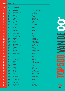| <b>POS 2016</b> | <b>POS 2015</b> | <b>Titel</b>                               | <b>Artiest</b>                     |                       |
|-----------------|-----------------|--------------------------------------------|------------------------------------|-----------------------|
| 107             | 83              | <b>Ruby</b>                                | <b>KAISER CHIEFS</b>               |                       |
| 108             | 152             | <b>Dear Mr President</b>                   | <b>PINK</b>                        |                       |
| 109             | 359             | <b>Lonely</b>                              | AKON                               |                       |
| 110             | 302             | <b>No One Knows</b>                        | QUEENS OF THE STONE AGE            |                       |
| 111             | 91              | <b>Can't Stop Loving You</b>               | PHIL COLLINS                       |                       |
| 112             | 350             | Rehab                                      | <b>AMY WINEHOUSE</b>               |                       |
| 113             | 92              | <b>Traffic</b>                             | <b>TIËSTO</b>                      |                       |
| 114             | 141             | <b>Like Toy Soldiers</b>                   | <b>EMINEM</b>                      |                       |
| 115             | 182             | <b>Human</b>                               | THE KILLERS                        | $\boldsymbol{\omega}$ |
| 116             | 18              | Feel                                       | <b>ROBBIE WILLIAMS</b>             |                       |
| 117             | 270             | <b>Bye Bye Bye</b>                         | <b>NSYNC</b>                       |                       |
| 118             | 418             | <b>Try Again</b>                           | <b>AALIYAH</b>                     |                       |
| 119             | 43              | <b>Use Somebody</b>                        | <b>KINGS OF LEON</b>               |                       |
| 120             | 103             | <b>Bad Day</b>                             | <b>DANIEL POWTER</b>               |                       |
| 121             | 212             | We Come 1                                  | <b>FAITHLESS</b>                   |                       |
| 122             | 157             | <b>Wat Zou Je Doen</b>                     | <b>MARCO BORSATO &amp; ALI B</b>   |                       |
| 123             | 311             | <b>American Idiot</b>                      | <b>GREEN DAY</b>                   |                       |
| 124             | 431             | <b>With You</b>                            | <b>CHRIS BROWN</b>                 |                       |
| 125             | 98              | <b>Baby Get Higher</b>                     | <b>VANVELZEN</b>                   |                       |
| 126             | 146             | <b>Love Generation</b>                     | <b>BOB SINCLAR</b>                 |                       |
| 127             | 74              | <b>Chasing Pavements</b>                   | <b>ADELE</b>                       |                       |
| 128             | 276             | <b>Dansplaat</b>                           | <b>BRAINPOWER</b>                  |                       |
| 129             | 148             | <b>Little Lion Man</b>                     | <b>MUMFORD &amp; SONS</b>          |                       |
| 130             | 250             | <b>Survivor</b>                            | <b>DESTINY'S CHILD</b>             |                       |
| 131             | 213             | Hurt                                       | <b>CHRISTINA AGUILERA</b>          | Z                     |
| 132             | 309             | <b>Walk On Water</b>                       | <b>MILK INC.</b>                   |                       |
| 133             | 292             | <b>Anyplace Anywhere Anytime</b>           | <b>NENA &amp; KIM WILDE</b>        |                       |
| 134             | 210             | It Wasn't Me                               | <b>SHAGGY</b>                      |                       |
| 135             | 147             | <b>Tranen Gelachen</b>                     | <b>GUUS MEEUWIS</b>                |                       |
| 136             | 96              | <b>Sexy Bitch</b>                          | <b>DAVID GUETTA &amp; AKON</b>     |                       |
| 137             | 217             | The Ketchup Song (Asereje)                 | <b>LAS KETCHUP</b>                 |                       |
| 138             | 109             | <b>Breaking The Habit</b>                  | <b>LINKIN PARK</b>                 |                       |
| 139             | 208             | Zij Gelooft In Mij                         | <b>ANDRE HAZES</b>                 | œ                     |
| 140             | 15              | Girl                                       | <b>ANOUK</b>                       |                       |
| 141             | 64              | <b>I Know You Want Me</b><br>So Incredible | <b>PITBULL</b>                     |                       |
| 142             | 101<br>136      |                                            | <b>ILSE DELANGE</b><br><b>MUSE</b> |                       |
| 143<br>144      | 58              | <b>Uprising</b><br><b>Holiday In Spain</b> | <b>COUNTING CROWS &amp; BLOF</b>   |                       |
| 145             | 28              | So What                                    | <b>PINK</b>                        |                       |
| 146             | 249             | <b>My Love</b>                             | <b>WESTLIFE</b>                    |                       |
| 147             | 150             | <b>Hung Up</b>                             | <b>MADONNA</b>                     |                       |
| 148             | $\blacksquare$  | <b>Maak Me Gek</b>                         | <b>GERARD JOLING</b>               |                       |
| 149             | 293             | Ms. Jackson                                | <b>OUTKAST</b>                     |                       |
| 150             | 99              | Snow (Hey Oh)                              | <b>RED HOT CHILI PEPPERS</b>       |                       |
| 151             | 256             | Don't Cha                                  | THE PUSSYCAT DOLLS                 |                       |
| 152             | 219             | Beggin'                                    | <b>MADCON</b>                      |                       |
| 153             | 308             | <b>A Thousand Miles</b>                    | <b>VANESSA CARLTON</b>             |                       |
| 154             | 164             | Put Your Hands Up 4 Detroit                | <b>FEDDE LE GRAND</b>              |                       |
| 155             | 230             | <b>Left Outside Alone</b>                  | ANASTACIA                          |                       |
| 156             | 395             | De Kapitein Deel li                        | <b>ACDA &amp; DE MUNNIK</b>        |                       |
| 157             | 160             | <b>Temperature</b>                         | <b>SEAN PAUL</b>                   |                       |
| 158             | 285             | <b>Behind Blue Eyes</b>                    | <b>LIMP BIZKIT</b>                 |                       |
| 159             | 181             | <b>Toxic</b>                               | <b>BRITNEY SPEARS</b>              |                       |
|                 |                 |                                            |                                    | MIRIC                 |

ŕ

 $\blacksquare$ 

 $\overline{\mathbf{b}}$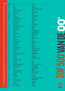| <b>POS 2016</b> | <b>POS 2015</b>     | <b>Titel</b>                                               | <b>Artiest</b>                         |                |
|-----------------|---------------------|------------------------------------------------------------|----------------------------------------|----------------|
| 160             | 176                 | <b>Talk</b>                                                | COLDPLAY                               |                |
| 161             | 129                 | No One                                                     | <b>ALICIA KEYS</b>                     |                |
| 162             | $\omega_{\rm{eff}}$ | <b>Toppertje!</b>                                          | <b>GUILLERMO &amp; TROPICAL DANNY</b>  |                |
| 163             | 80                  | Drops Of Jupiter (Tell Me)                                 | <b>TRAIN</b>                           |                |
| 164             | 392                 | <b>Hollaback Girl</b>                                      | <b>GWEN STEFANI</b>                    |                |
| 165             | 122                 | <b>Rain Down On Me</b>                                     | <b>KANE</b>                            |                |
| 166             | 405                 | Shut Up                                                    | <b>BLACK EYED PEAS</b>                 |                |
| 167             | 165                 | <b>Complicated</b>                                         | <b>AVRIL LAVIGNE</b>                   |                |
| 168             | 260                 | <b>Evacuate The Dancefloor</b>                             | CASCADA                                |                |
| 169             | 39                  | Geef Mij Je Angst                                          | <b>GUUS MEEUWIS</b>                    |                |
| 170             | 267                 | <b>She Wants To Move</b>                                   | <b>N.E.R.D.</b>                        |                |
| 171             | ä,                  | <b>Hey Sexy Lady</b>                                       | <b>SHAGGY</b>                          |                |
| 172             | 116                 | <b>Because Of You</b>                                      | <b>KELLY CLARKSON</b>                  |                |
| 173             | 221                 | <b>Harder Better Faster Stronger</b>                       | <b>DAFT PUNK</b>                       |                |
| 174             | 438                 | <b>Big Girls Don't Cry</b>                                 | <b>FERGIE</b>                          |                |
| 175             | 128                 | <b>All Summer Long</b>                                     | <b>KID ROCK</b>                        |                |
| 176             | 174                 | <b>Unwritten</b>                                           | <b>NATASHA BEDINGFIELD</b>             |                |
| 177             | 357                 | Jij Bent Zo                                                | <b>JEROEN VAN DER BOOM</b>             |                |
| 178             | 142                 | Let's Get Loud                                             | <b>JENNIFER LOPEZ</b>                  |                |
| 179             | ÷.                  | <b>Heaven</b>                                              | <b>DJ SAMMY &amp; DO</b>               |                |
| 180             | 143                 | <b>Three Days In A Row</b>                                 | <b>ANOUK</b>                           |                |
| 181             | 162                 | <b>Escape</b>                                              | <b>ENRIQUE IGLESIAS</b>                |                |
| 182             | 126                 | <b>Dansen Aan Zee</b>                                      | <b>BLOF</b>                            |                |
| 183             | 49                  | <b>All The Small Things</b>                                | <b>BLINK 182</b>                       |                |
| 184             | 274                 | <b>Bleeding Love</b>                                       | <b>LEONA LEWIS</b>                     | Z              |
| 185             | 321                 | <b>Just Like A Pill</b>                                    | <b>PINK</b>                            |                |
| 186             | 155                 | <b>Supergirl</b>                                           | <b>REAMONN</b>                         |                |
| 187             | 24                  | <b>Don't Stop The Music</b>                                | <b>RIHANNA</b>                         |                |
| 188             | 303                 | <b>Lopen Op Het Water</b>                                  | <b>MARCO BORSATO &amp; SITA</b>        |                |
| 189             | 79                  | <b>Fighter</b>                                             | <b>CHRISTINA AGUILERA</b>              |                |
| 190             | 289                 | <b>She Bangs</b>                                           | <b>RICKY MARTIN</b>                    |                |
| 191             | 66                  | <b>What Goes Around Comes Around</b>                       | <b>JUSTIN TIMBERLAKE</b>               |                |
| 192             | 132                 | <b>Haus Am See</b>                                         | <b>PETER FOX</b>                       | $\blacksquare$ |
| 193             | 44                  | <b>Hot N Cold</b>                                          | <b>KATY PERRY</b>                      |                |
| 194             | 330                 | <b>Dilemma</b>                                             | <b>NELLY &amp; KELLY ROWLAND</b>       |                |
| 195             | 367                 | <b>City Of Blinding Lights</b>                             | U <sub>2</sub><br><b>ALIZEE</b>        | Ē              |
| 196             | 488                 | Moi Lolita                                                 | <b>MIKA</b>                            |                |
| 197<br>198      | 69<br>328           | <b>Grace Kelly</b><br><b>Slaap Lekker (Fantastig Toch)</b> | <b>DIGGY DEX &amp; EVA DE ROOVERE</b>  |                |
| 199             | 236                 | <b>Behind These Hazel Eyes</b>                             | <b>KELLY CLARKSON</b>                  |                |
| 200             | 484                 | <b>Sky And Sand</b>                                        | <b>PAUL KALKBRENNER</b>                |                |
| 201             | 215                 | <b>Binnen</b>                                              | <b>MARCO BORSATO</b>                   | E              |
| 202             | 421                 | <b>Cleanin' Out My Closet</b>                              | <b>EMINEM</b>                          |                |
| 203             | ÷.                  | I Write Sins Not Tragedies                                 | <b>PANIC! AT THE DISCO</b>             |                |
| 204             | 118                 | <b>The Riddle</b>                                          | <b>GIGI D'AGOSTINO</b>                 |                |
| 205             | 163                 | Hallelujah                                                 | <b>LISA LOIS</b>                       |                |
| 206             | 37                  | Mr. Brightside                                             | THE KILLERS                            |                |
| 207             | 209                 | No Air                                                     | <b>JORDIN SPARKS &amp; CHRIS BROWN</b> |                |
| 208             | 255                 | <b>Accidentally In Love</b>                                | <b>COUNTING CROWS</b>                  |                |
| 209             | 371                 | Zij Maakt Het Verschil                                     | <b>DE POEMA'S</b>                      |                |
| 210             | ä,                  | <b>Amerika</b>                                             | <b>RAMMSTEIN</b>                       |                |
| 211             | 171                 | <b>Hometown Glory</b>                                      | ADELE                                  |                |
| 212             | 315                 | <b>Because The Night</b>                                   | <b>JAN WAYNE</b>                       |                |
|                 |                     |                                                            |                                        |                |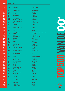| <b>POS 2016</b> | <b>POS 2015</b> | <b>Titel</b>                                                        | <b>Artiest</b>                        |                  |
|-----------------|-----------------|---------------------------------------------------------------------|---------------------------------------|------------------|
| 213             | 84              | <b>Family Portrait</b>                                              | <b>PINK</b>                           |                  |
| 214             | 268             | <b>Ren Lenny Ren</b>                                                | <b>ACDA &amp; DE MUNNIK</b>           |                  |
| 215             | ä,              | 99 Problems                                                         | JAY Z                                 |                  |
| 216             | 191             | If You're Not The One                                               | <b>DANIEL BEDINGFIELD</b>             |                  |
| 217             | 358             | It's My Life                                                        | <b>NO DOUBT</b>                       |                  |
| 218             | 177             | <b>Everything</b>                                                   | <b>MICHAEL BUBLE</b>                  |                  |
| 219             | 73              | <b>Teenage Dirtbag</b>                                              | <b>WHEATUS</b>                        |                  |
| 220             | 125             | <b>Whatcha Say</b>                                                  | <b>JASON DERULO</b>                   |                  |
| 221             | 253             | <b>Inside My Head</b>                                               | <b>DI-RECT</b>                        | <b>U)</b>        |
| 222             | 345             | Can't Get You Out Of My Head                                        | <b>KYLIE MINOGUE</b>                  |                  |
| 223             | ä,              | <b>Supermassive Black Hole</b>                                      | <b>MUSE</b>                           |                  |
| 224             | 140             | One                                                                 | <b>MARY J BLIGE &amp; U2</b>          |                  |
| 225             | 452             | <b>Infinity 2008</b>                                                | <b>GURU JOSH</b>                      |                  |
| 226             | ä,              | <b>Woman</b>                                                        | ANOUK                                 |                  |
| 227             | 342             | Vrienden Voor Het Leven                                             | <b>JAN SMIT</b>                       |                  |
| 228             | 393             | <b>Wherever You Will Go</b>                                         | THE CALLING                           |                  |
| 229             | 149             | Listen                                                              | <b>BEYONCÉ</b>                        |                  |
| 230             |                 | <b>Never Say Never</b>                                              | ARMIN VAN BUUREN & JACQUELINE GOVAERT |                  |
| 231             | 226             | <b>Butterfly</b>                                                    | <b>CRAZY TOWN</b>                     |                  |
| 232             | 216             | <b>Chariot</b>                                                      | <b>GAVIN DEGRAW</b>                   | <u>e a </u>      |
| 233             |                 | <b>Takin' Back My Love</b>                                          | <b>ENRIQUE IGLESIAS &amp; CIARA</b>   |                  |
| 234             | 186             | <b>Year 3000</b>                                                    | <b>BUSTED</b>                         | E                |
| 235             | 175             | Don't Lie                                                           | <b>BLACK EYED PEAS</b>                |                  |
| 236             | 172             | Drop It                                                             | <b>SCOOP</b>                          | ÷.               |
| 237             | 224             | <b>Hey There Delilah</b>                                            | <b>PLAIN WHITE T'S</b>                | $\blacktriangle$ |
| 238             | 107             | <b>Shut Up And Drive</b>                                            | <b>RIHANNA</b>                        |                  |
| 239             | 110             | <b>Sexyback</b>                                                     | <b>JUSTIN TIMBERLAKE</b>              |                  |
| 240             | 396             | <b>Can't Fight The Moonlight</b>                                    | <b>LEANN RIMES</b>                    |                  |
| 241             | 473             | <b>Monsoon</b>                                                      | <b>TOKIO HOTEL</b>                    |                  |
| 242             | 200             | <b>A Little Less Conversation</b>                                   | <b>JXL &amp; ELVIS PRESLEY</b>        |                  |
| 243<br>244      | 196<br>351      | <b>Run</b>                                                          | <b>SNOW PATROL</b><br><b>PINK</b>     |                  |
| 245             | 144             | <b>Get The Party Started</b><br>Show Me The Meaning Of Being Lonely | <b>BACKSTREET BOYS</b>                | ć                |
| 246             | 447             | <b>Silence</b>                                                      | <b>DELERIUM &amp; SARAH MCLACHLAN</b> |                  |
| 247             | 373             | Happy?                                                              | <b>INTWINE</b>                        |                  |
| 248             | ÷,              | <b>You Sang To Me</b>                                               | <b>MARC ANTHONY</b>                   |                  |
| 249             | 53              | The Saints Are Coming                                               | <b>U2 &amp; GREEN DAY</b>             | ă                |
| 250             | 130             | <b>Just Breathe</b>                                                 | <b>PEARL JAM</b>                      |                  |
| 251             | 262             | <b>Get Busy</b>                                                     | <b>SEAN PAUL</b>                      |                  |
| 252             | 199             | <b>The Climb</b>                                                    | <b>MILEY CYRUS</b>                    |                  |
| 253             | 411             | <b>Hanging By A Moment</b>                                          | <b>LIFEHOUSE</b>                      |                  |
| 254             | 239             | Dat Komt Door Jou                                                   | <b>GUUS MEEUWIS</b>                   | Ξ                |
| 255             | 192             | <b>Just Dance</b>                                                   | <b>LADY GAGA</b>                      |                  |
| 256             | 403             | <b>Everybody's Changing</b>                                         | <b>KEANE</b>                          | E                |
| 257             |                 | Me Gustas Tu                                                        | <b>MANU CHAO</b>                      |                  |
| 258             | 185             | <b>The World's Greatest</b>                                         | R. KELLY                              |                  |
| 259             | 195             | <b>Candy Shop</b>                                                   | 50 CENT                               |                  |
| 260             | 257             | <b>Stand My Ground</b>                                              | <b>WITHIN TEMPTATION</b>              |                  |
| 261             |                 | I'm A Slave 4 U                                                     | <b>BRITNEY SPEARS</b>                 |                  |
| 262             |                 | <b>Thank You For Loving Me</b>                                      | <b>BON JOVI</b>                       |                  |
| 263             |                 | <b>On The Move</b>                                                  | <b>BARTHEZZ</b>                       |                  |
| 264             | 310             | <b>Just Hold Me</b>                                                 | <b>MARIA MENA</b>                     |                  |
| 265             |                 | <b>Sing For The Moment</b>                                          | <b>EMINEM</b>                         |                  |
|                 |                 |                                                                     |                                       |                  |

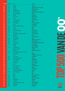| <b>POS 2016</b> | <b>POS 2015</b> | <b>Titel</b>                              | <b>Artiest</b>                                     |                       |
|-----------------|-----------------|-------------------------------------------|----------------------------------------------------|-----------------------|
| 266             | 336             | <b>Disturbia</b>                          | <b>RIHANNA</b>                                     |                       |
| 267             | 287             | <b>Zinloos</b>                            | <b>LANGE FRANS &amp; BAAS B &amp; NINTHE</b>       |                       |
| 268             | 183             | Am To Pm                                  | <b>CHRISTINA MILIAN</b>                            |                       |
| 269             | 314             | <b>Goodbye My Lover</b>                   | <b>JAMES BLUNT</b>                                 |                       |
| 270             | 487             | Drop It Like It's Hot                     | <b>PHARRELL WILLIAMS &amp; SNOOP DOGG</b>          |                       |
| 271             | ÷,              | <b>Hart Van Mijn Gevoel</b>               | <b>DE KAST</b>                                     |                       |
| 272             | 273             | Push Up                                   | <b>FREESTYLERS</b>                                 |                       |
| 273             | ÷.              | Ain't It Funny                            | <b>JENNIFER LOPEZ</b>                              |                       |
| 274             | 214             | <b>Tribute</b>                            | <b>TENACIOUS D</b>                                 | $\boldsymbol{\omega}$ |
| 275             | 234             | Let's Get It Started                      | <b>BLACK EYED PEAS</b>                             |                       |
| 276             | 444             | Let Me Love You                           | <b>MARIO</b>                                       |                       |
| 277             | 133             | <b>Dani California</b>                    | <b>RED HOT CHILI PEPPERS</b>                       |                       |
| 278             | ÷,              | <b>Slaap</b>                              | THE OPPOSITES                                      |                       |
| 279             | 169             | <b>Anyone Of Us (Stupid Mistake)</b>      | <b>GARETH GATES</b>                                |                       |
| 280             | 282             | <b>Tik Tok</b>                            | <b>KESHA</b>                                       |                       |
| 281             | 189             | <b>One Word</b>                           | <b>ANOUK</b>                                       |                       |
| 282             | 386             | I Don't Feel Like Dancin'                 | <b>SCISSOR SISTERS</b>                             |                       |
| 283             | 468             | <b>Outta Here</b>                         | <b>ESMEE DENTERS</b>                               |                       |
| 284             | ÷.              | <b>Sorry Seems To Be The Hardest Word</b> | <b>BLUE &amp; ELTON JOHN</b>                       |                       |
| 285             | 188             | Flight 643                                | <b>TIËSTO</b>                                      |                       |
| 286             |                 | <b>Hands Clean</b>                        | <b>ALANIS MORISSETTE</b>                           |                       |
| 287             | 450             | <b>Ayo Technology</b>                     | <b>MILOW</b>                                       |                       |
| 288             | 205             | The Way I Are                             | <b>TIMBALAND &amp; KERI HILSON</b>                 |                       |
| 289             | 416             | Crazy                                     | <b>GNARLS BARKLEY</b>                              |                       |
| 290             | 446             | <b>Broken Strings</b>                     | <b>JAMES MORRISON &amp; NELLY FURTADO</b>          |                       |
| 291             | 313             | <b>Rosanne</b>                            | <b>NICK &amp; SIMON</b>                            |                       |
| 292             | ÷               | <b>Senorita</b>                           | <b>JUSTIN TIMBERLAKE</b>                           |                       |
| 293             | 347             | <b>Sweet About Me</b>                     | <b>GABRIELLA CILMI</b>                             |                       |
| 294             |                 | <b>Because I Got High</b>                 | <b>AFROMAN</b>                                     |                       |
| 295             |                 | <b>Not In Love</b>                        | <b>ENRIQUE IGLESIAS &amp; KELIS</b>                |                       |
| 296             | 206             | Stuck In A Moment You Can't Get Out Of    | U <sub>2</sub>                                     |                       |
| 297             |                 | <b>Pon De Replay</b>                      | <b>RIHANNA</b>                                     |                       |
| 298             | ÷               | Lucky                                     | <b>JASON MRAZ &amp; COLBIE CAILLAT</b>             |                       |
| 299             | 349             | Que Si Que No                             | <b>JODY BERNAL</b>                                 |                       |
| 300             | 288             | <b>Underneath Your Clothes</b>            | <b>SHAKIRA</b>                                     |                       |
| 301             | 326             | I Don't Want To Be                        | <b>GAVIN DEGRAW</b>                                | $\blacksquare$        |
| 302             |                 | <b>Frozen Flame</b>                       | <b>JECKYLL &amp; HYDE</b>                          |                       |
| 303             |                 | <b>Breakaway</b>                          | <b>KELLY CLARKSON</b>                              |                       |
| 304             | ٠               | <b>Rollin'</b>                            | <b>LIMP BIZKIT</b>                                 |                       |
| 305             |                 | I Don't Need A Man                        | THE PUSSYCAT DOLLS                                 |                       |
| 306             | ÷.              | <b>Clint Eastwood</b>                     | GORILLAZ                                           |                       |
| 307             | 363             | <b>Haven't Met You Yet</b>                | <b>MICHAEL BUBLE</b>                               |                       |
| 308             | ÷               | <b>Crying At The Discotheque</b>          | <b>ALCAZAR</b>                                     |                       |
| 309             | 355             | I Don't Wanna Hurt                        | <b>ANOUK</b>                                       |                       |
| 310             | $\omega$        | <b>Bliss</b>                              | <b>MUSE</b>                                        |                       |
| 311             | 397             | <b>Replay</b>                             | <b>IYAZ &amp; SEAN KINGSTON</b>                    |                       |
| 312             | 331             | Hurt                                      | <b>JOHNNY CASH</b><br><b>RED HOT CHILI PEPPERS</b> |                       |
| 313             | 376             | <b>Otherside</b>                          |                                                    |                       |
| 314             | 232             | <b>Désenchantée</b>                       | <b>KATE RYAN</b>                                   |                       |
| 315             | 324             | In My Place                               | COLDPLAY                                           |                       |
| 316             | 278             | <b>Lovestoned (I Think She Knows)</b>     | <b>JUSTIN TIMBERLAKE</b>                           |                       |
| 317<br>318      | 389<br>298      | <b>Whole Again</b>                        | <b>ATOMIC KITTEN</b>                               |                       |
|                 |                 | Far Away                                  | NICKELBACK                                         | <b>MUSIC</b>          |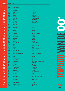| <b>POS 2016</b> | <b>POS 2015</b> | <b>Titel</b>                    | <b>Artiest</b>                               |
|-----------------|-----------------|---------------------------------|----------------------------------------------|
| 319             | 459             | <b>Living On Video</b>          | <b>PAKITO</b>                                |
| 320             | 462             | <b>Ignition (Remix)</b>         | <b>R. KELLY</b>                              |
| 321             | 445             | <b>Somebody Told Me</b>         | THE KILLERS                                  |
| 322             | ä,              | <b>Superstar</b>                | <b>JAMELIA</b>                               |
| 323             | 370             | <b>Stop And Stare</b>           | <b>ONEREPUBLIC</b>                           |
| 324             | 424             | <b>Tijdmachine</b>              | DIO & SEF                                    |
| 325             | 352             | 9 Crimes                        | <b>DAMIEN RICE</b>                           |
| 326             | 439             | <b>Kings And Queens</b>         | <b>30 SECONDS TO MARS</b>                    |
| 327             | ÷,              | <b>Rise &amp; Fall</b>          | <b>CRAIG DAVID &amp; STING</b>               |
| 328             | 435             | <b>Satisfaction</b>             | <b>BENNY BENASSI</b>                         |
| 329             | 401             | <b>Everytime</b>                | <b>BRITNEY SPEARS</b>                        |
| 330             | ÷.              | <b>Take Me Out</b>              | <b>FRANZ FERDINAND</b>                       |
| 331             | 247             | <b>Mooie Dag</b>                | <b>BLOF</b>                                  |
| 332             | ÷.              | <b>Breathe</b>                  | <b>BLU CANTRELL &amp; SEAN PAUL</b>          |
| 333             | 423             | <b>Modern World</b>             | <b>ANOUK</b>                                 |
| 334             | ÷               | <b>Turn Me On</b>               | <b>KEVIN LYTTLE</b>                          |
| 335             | 167             | 21 Guns                         | <b>GREEN DAY</b>                             |
| 336             | 410             | <b>Russian Roulette</b>         | <b>RIHANNA</b>                               |
| 337             | 203             | Galvanize                       | THE CHEMICAL BROTHERS                        |
| 338             | 159             | <b>Miracle</b>                  | <b>ILSE DELANGE</b>                          |
| 339             | 223             | <b>The Real Slim Shady</b>      | <b>EMINEM</b>                                |
| 340             | 353             | <b>Wicked Way</b>               | <b>WAYLON</b>                                |
| 341             | ÷,              | <b>Daddy Dj</b>                 | <b>DADDY DJ</b>                              |
| 342             | 104             | <b>Yellow</b>                   | <b>COLDPLAY</b>                              |
| 343             | 242             | <b>Can You Hear Me</b>          | <b>ENRIQUE IGLESIAS</b>                      |
| 344             | 306             | <b>Mercy</b>                    | <b>DUFFY</b>                                 |
| 345             | ٠               | <b>American Boy</b>             | <b>ESTELLE &amp; KANYE WEST</b>              |
| 346             | ÷               | <b>Papillon</b>                 | <b>EDITORS</b>                               |
| 347             | 427             | La Tortura                      | <b>SHAKIRA &amp; ALEJANDRO SANZ</b>          |
| 348             | 496             | <b>Times Are Changing</b>       | <b>DI-RECT</b>                               |
| 349             | 312             | I'm Like A Bird                 | <b>NELLY FURTADO</b>                         |
| 350             | 402             | He's A Pirate (Tiesto Remix)    | <b>PIRATES OF THE CARIBBEAN</b>              |
| 351             | ÷.              | <b>A Night Like This</b>        | <b>CARO EMERALD</b>                          |
| 352             | 204             | Home                            | <b>DAUGHTRY</b>                              |
| 353             | 449             | <b>The Sweet Escape</b>         | <b>GWEN STEFANI &amp; AKON</b>               |
| 354             | ÷,              | <b>Happy Ending</b>             | <b>MIKA</b>                                  |
| 355             | 332             | <b>Mas Que Nada</b>             | <b>BLACK EYED PEAS &amp; SERGIO MENDES</b>   |
| 356<br>357      | <b>117</b>      | <b>Rockstar</b>                 | <b>NICKELBACK</b>                            |
| 358             | 120<br>194      | Paparazzi                       | <b>LADY GAGA</b>                             |
| 359             | ÷.              | De Weg<br>I Just Wanna Live     | <b>GUUS MEEUWIS</b><br><b>GOOD CHARLOTTE</b> |
| 360             | 495             | <b>No More Drama</b>            | <b>MARY J BLIGE</b>                          |
| 361             | 156             | <b>Wake Up Call</b>             | <b>MAROON 5</b>                              |
| 362             | 381             | <b>Murder On The Dancefloor</b> | SOPHIE ELLIS-BEXTOR                          |
| 363             | 47              | <b>Hot In Herre</b>             | <b>NELLY</b>                                 |
| 364             | 398             | Sober                           | <b>PINK</b>                                  |
| 365             | 291             | <b>Miss California</b>          | <b>DANTE THOMAS &amp; PRAS MICHEL</b>        |
| 366             | 193             | <b>No Surrender</b>             | <b>KANE</b>                                  |
| 367             | ÷               | <b>Say My Name</b>              | <b>DESTINY'S CHILD</b>                       |
| 368             | 469             | <b>Dance With Somebody</b>      | <b>MANDO DIAO</b>                            |
| 369             | 227             | <b>Ordinary People</b>          | <b>JOHN LEGEND</b>                           |
| 370             | 86              | <b>Since U Been Gone</b>        | <b>KELLY CLARKSON</b>                        |
| 371             | 329             | <b>Love Comes Again</b>         | <b>TIËSTO</b>                                |
|                 |                 |                                 |                                              |

 $\blacktriangle$  $\blacksquare$ S

**MUSIC** 

 $\frac{1}{2}$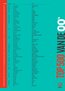| <b>POS 2016</b> | <b>POS 2015</b> | <b>Titel</b>                     | <b>Artiest</b>                      |                |
|-----------------|-----------------|----------------------------------|-------------------------------------|----------------|
| 372             | 476             | <b>Come Undone</b>               | <b>ROBBIE WILLIAMS</b>              |                |
| 373             | 246             | <b>U</b> Remind Me               | <b>USHER</b>                        |                |
| 374             | 399             | <b>Vertigo</b>                   | U <sub>2</sub>                      |                |
| 375             | 85              | In Da Club                       | 50 CENT                             |                |
| 376             | 297             | <b>Push The Button</b>           | <b>SUGABABES</b>                    |                |
| 377             | ä,              | Leave The Light On               | <b>BETH HART</b>                    |                |
| 378             | 323             | <b>Like I Love You</b>           | <b>JUSTIN TIMBERLAKE</b>            |                |
| 379             | 184             | <b>Feel Like Flying</b>          | <b>RACOON</b>                       |                |
| 380             | 338             | Angel                            | <b>SHAGGY</b>                       | <b>U)</b>      |
| 381             | 145             | <b>Take A Bow</b>                | <b>RIHANNA</b>                      |                |
| 382             | 368             | La Camisa Negra                  | <b>JUANES</b>                       |                |
| 383             | 364             | <b>Meet Me Halfway</b>           | <b>BLACK EYED PEAS</b>              |                |
| 384             |                 | <b>You And I</b>                 | <b>WILL YOUNG</b>                   |                |
| 385             |                 | I'm Outta Love                   | <b>ANASTACIA</b>                    |                |
| 386             |                 | Sorry (Live @ Tivoli)            | <b>KYTEMAN</b>                      |                |
| 387             | 456             | <b>Thong Song</b>                | <b>SISQO</b>                        |                |
| 388             |                 | <b>Look Through My Eyes</b>      | <b>PHIL COLLINS</b>                 |                |
| 389             |                 | <b>Can't Stop</b>                | <b>RED HOT CHILI PEPPERS</b>        |                |
| 390             |                 | What If                          | <b>KATE WINSLET</b>                 |                |
| 391             | ÷,              | <b>Me Against The Music</b>      | <b>BRITNEY SPEARS &amp; MADONNA</b> |                |
| 392             | 453             | <b>White Flag</b>                | <b>DIDO</b>                         |                |
| 393             | 437             | Dichterbij Dan Ooit              | <b>BLOF</b>                         |                |
| 394             |                 | <b>Gotta Get Thru This</b>       | <b>DANIEL BEDINGFIELD</b>           |                |
| 395             |                 | <b>All This Time</b>             | <b>MARIA MENA</b>                   |                |
| 396             | ÷,              | <b>Resurection</b>               | <b>PPK</b>                          |                |
| 397             | 220             | Incomplete                       | <b>BACKSTREET BOYS</b>              |                |
| 398             | 433             | <b>Maria Maria</b>               | <b>SANTANA</b>                      |                |
| 399             | 460             | <b>Where'd You Go</b>            | <b>FORT MINOR</b>                   |                |
| 400             | 241             | <b>Jenny From The Block</b>      | <b>JENNIFER LOPEZ</b>               |                |
| 401             | 455             | <b>Memories</b>                  | <b>WITHIN TEMPTATION</b>            |                |
| 402             | 454             | My Love                          | <b>JUSTIN TIMBERLAKE</b>            |                |
| 403             |                 | <b>Last Resort</b>               | <b>PAPA ROACH</b>                   |                |
| 404             | 87              | <b>She's The One</b>             | <b>ROBBIE WILLIAMS</b>              |                |
| 405             | ÷.              | <b>Nobody Wants To Be Lonely</b> | RICKY MARTIN & CHRISTINA AGUILERA   | $\blacksquare$ |
| 406             | 105             | Freefall                         | <b>JECKYLL &amp; HYDE</b>           |                |
| 407             | 222             | <b>Daughters</b>                 | <b>JOHN MAYER</b>                   | $\blacksquare$ |
| 408             | 304             | <b>You Rock My World</b>         | <b>MICHAEL JACKSON</b>              |                |
| 409             | ÷.              | <b>Beautiful Girls</b>           | <b>SEAN KINGSTON</b>                |                |
| 410             | 102             | <b>Sonne</b>                     | <b>RAMMSTEIN</b>                    |                |
| 411             |                 | 7 Days                           | <b>CRAIG DAVID</b>                  |                |
| 412             | 322             | <b>So Yesterday</b>              | <b>HILARY DUFF</b>                  |                |
| 413             | 286             | <b>Bootylicious</b>              | <b>DESTINY'S CHILD</b>              |                |
| 414             |                 | <b>If Tomorrow Never Comes</b>   | <b>RONAN KEATING</b>                |                |
| 415             | ÷.              | <b>From Yesterday</b>            | <b>30 SECONDS TO MARS</b>           |                |
| 416             | 474             | <b>Smack That</b>                | <b>AKON &amp; EMINEM</b>            |                |
| 417             | 272             | <b>Good God</b>                  | <b>ANOUK</b>                        |                |
| 418             | 283             | <b>Patience</b>                  | <b>TAKE THAT</b>                    |                |
| 419             |                 | <b>Riverside</b>                 | <b>SIDNEY SAMSON</b>                |                |
| 420             | ÷.              | <b>Trouble</b>                   | <b>PINK</b>                         |                |
| 421             | 415             | <b>Brother</b>                   | <b>RACOON</b>                       |                |
|                 |                 |                                  |                                     |                |
| 422             | 218             | <b>Starlight</b>                 | <b>MUSE</b><br><b>EVE</b>           |                |
| 423             | 387             | <b>Who's That Girl</b>           |                                     |                |
| 424             |                 | 1973                             | <b>JAMES BLUNT</b>                  | <b>MUSIC</b>   |

Ξ

P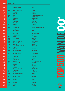| <b>POS 2016</b> | <b>POS 2015</b>     | <b>Titel</b>                                 | <b>Artiest</b>                                 |           |
|-----------------|---------------------|----------------------------------------------|------------------------------------------------|-----------|
| 425             | 374                 | <b>Makes Me Wonder</b>                       | <b>MAROON 5</b>                                |           |
| 426             | ÷,                  | <b>Right Here Right Now</b>                  | <b>RAFFAELA</b>                                |           |
| 427             | ä,                  | Komodo                                       | <b>MAURO PICOTTO</b>                           |           |
| 428             | 497                 | Never Be The Same Again                      | <b>MELANIE C</b>                               |           |
| 429             | $\omega$            | <b>American Pie</b>                          | <b>MADONNA</b>                                 |           |
| 430             | 365                 | <b>Just Say Yes</b>                          | <b>SNOW PATROL</b>                             |           |
| 431             | 384                 | <b>Signs</b>                                 | <b>SNOOP DOGG &amp; JUSTIN TIMBERLAKE</b>      |           |
| 432             | 151                 | <b>Supreme</b>                               | <b>ROBBIE WILLIAMS</b>                         |           |
| 433             | ÷                   | <b>Gotta Tell You</b>                        | <b>SAMANTHA MUMBA</b>                          | <b>SP</b> |
| 434             | 491                 | <b>Built To Last</b>                         | <b>MELEE</b>                                   |           |
| 435             | ä,                  | <b>Broad Daylight</b>                        | <b>GABRIEL RIOS</b>                            |           |
| 436             | 481                 | <b>Another Chance</b>                        | <b>ROGER SANCHEZ</b>                           |           |
| 437             | ÷.                  | <b>Pure Shores</b>                           | <b>ALL SAINTS</b>                              |           |
| 438             | 300                 | <b>Big Yellow Taxi</b>                       | <b>COUNTING CROWS</b>                          |           |
| 439             | 280                 | <b>Lady Marmalade</b>                        | <b>CHRISTINA AGUILERA &amp; MYA &amp; PINK</b> |           |
| 440             | 124                 | <b>Bubbly</b>                                | <b>COLBIE CAILLAT</b>                          |           |
| 441             | ä,                  | <b>Miss Independent</b>                      | NE-YO                                          |           |
| 442             | 390                 | <b>Fascination</b>                           | <b>ALPHABEAT</b>                               |           |
| 443             | 341                 | <b>These Words</b>                           | NATASHA BEDINGFIELD                            |           |
| 444             | ÷.                  | <b>Adagio For Strings</b>                    | <b>TIËSTO</b>                                  |           |
| 445             | 451                 | Trackin'                                     | <b>BILLY CRAWFORD</b>                          |           |
| 446             | 265                 | <b>In The Shadows</b>                        | <b>THE RASMUS</b>                              |           |
| 447             | 266                 | <b>Irreplaceable</b>                         | <b>BEYONCÉ</b>                                 |           |
| 448             | 295                 | <b>Don't Phunk With My Heart</b>             | <b>BLACK EYED PEAS</b>                         |           |
| 449             | 279                 | <b>Speed Of Sound</b>                        | COLDPLAY                                       |           |
| 450             | 356                 | <b>Without Me</b>                            | <b>EMINEM</b>                                  |           |
| 451             | ÷                   | My Life Would Suck Without You               | <b>KELLY CLARKSON</b>                          |           |
| 452             | 346                 | <b>Omarm</b>                                 | <b>BLOF</b>                                    |           |
| 453             | ÷                   | Call On Me                                   | <b>ERIC PRYDZ</b>                              |           |
| 454             | 485                 | You Know I'm No Good                         | <b>AMY WINEHOUSE</b>                           |           |
| 455             |                     | <b>Smooth Criminal</b>                       | <b>ALIEN ANT FARM</b>                          |           |
| 456             | 419                 | <b>You Give Me Something</b>                 | <b>JAMES MORRISON</b>                          |           |
| 457             | 362                 | <b>Independent Women</b>                     | <b>DESTINY'S CHILD</b>                         |           |
| 458             | 319<br>269          | <b>I'll Be Waiting</b><br>S.0.S.             | <b>LENNY KRAVITZ</b><br><b>RIHANNA</b>         |           |
| 459             |                     |                                              | <b>KANE</b>                                    |           |
| 460<br>461      | ÷.<br>320           | <b>Damn Those Eyes</b><br><b>Gold Digger</b> | <b>KANYE WEST &amp; JAMIE FOXX</b>             |           |
| 462             | 318                 | Love Don't Cost A Thing                      | <b>JENNIFER LOPEZ</b>                          |           |
| 463             | ä,                  | <b>Magnificent</b>                           | U <sub>2</sub>                                 |           |
| 464             | $\blacksquare$      | <b>No Worries</b>                            | <b>SIMON WEBBE</b>                             |           |
| 465             | ÷,                  | Jerusalem                                    | <b>ANOUK</b>                                   |           |
| 466             | ÷                   | Superman (It's Not Easy)                     | <b>FIVE FOR FIGHTING</b>                       |           |
| 467             | $\blacksquare$      | <b>Love Come Home</b>                        | <b>DJ JEAN</b>                                 |           |
| 468             | 316                 | <b>Battlefield</b>                           | <b>JORDIN SPARKS</b>                           |           |
| 469             | 248                 | She Moves In Her Own Way                     | THE KOOKS                                      |           |
| 470             | $\omega_{\rm{eff}}$ | <b>Stuck On You</b>                          | 3 <sub>T</sub>                                 |           |
| 471             | 180                 | <b>Welcome To My Life</b>                    | <b>SIMPLE PLAN</b>                             |           |
| 472             | 264                 | <b>Something Beautiful</b>                   | <b>ROBBIE WILLIAMS</b>                         |           |
| 473             | 299                 | <b>Something</b>                             | LASGO                                          |           |
| 474             | 271                 | All Good Things (Come To An End)             | <b>NELLY FURTADO</b>                           |           |
| 475             | 243                 | Photograph                                   | NICKELBACK                                     |           |
| 476             | 443                 | <b>Fuck You</b>                              | <b>LILY ALLEN</b>                              |           |
| 477             | 237                 | Aicha                                        | <b>OUTLANDISH</b>                              |           |
|                 |                     |                                              |                                                |           |

**SIC**